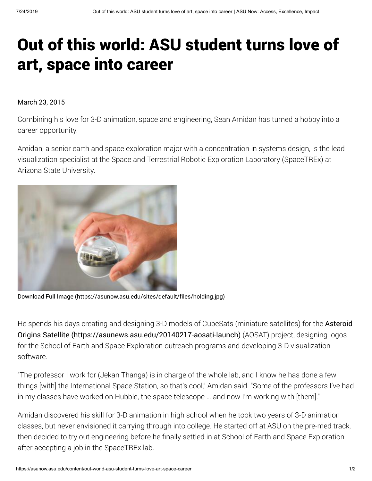## Out of this world: ASU student turns love of art, space into career

## March 23, 2015

Combining his love for 3-D animation, space and engineering, Sean Amidan has turned a hobby into a career opportunity.

Amidan, a senior earth and space exploration major with a concentration in systems design, is the lead visualization specialist at the Space and Terrestrial Robotic Exploration Laboratory (SpaceTREx) at Arizona State University.



[Download Full Image \(https://asunow.asu.edu/sites/default/files/holding.jpg\)](https://asunow.asu.edu/sites/default/files/holding.jpg)

[He spends his days creating and designing 3-D models of CubeSats \(miniature satellites\) for the](https://asunews.asu.edu/20140217-aosati-launch) Asteroid Origins Satellite (https://asunews.asu.edu/20140217-aosati-launch) (AOSAT) project, designing logos for the School of Earth and Space Exploration outreach programs and developing 3-D visualization software.

"The professor I work for (Jekan Thanga) is in charge of the whole lab, and I know he has done a few things [with] the International Space Station, so that's cool," Amidan said. "Some of the professors I've had in my classes have worked on Hubble, the space telescope … and now I'm working with [them]."

Amidan discovered his skill for 3-D animation in high school when he took two years of 3-D animation classes, but never envisioned it carrying through into college. He started off at ASU on the pre-med track, then decided to try out engineering before he finally settled in at School of Earth and Space Exploration after accepting a job in the SpaceTREx lab.